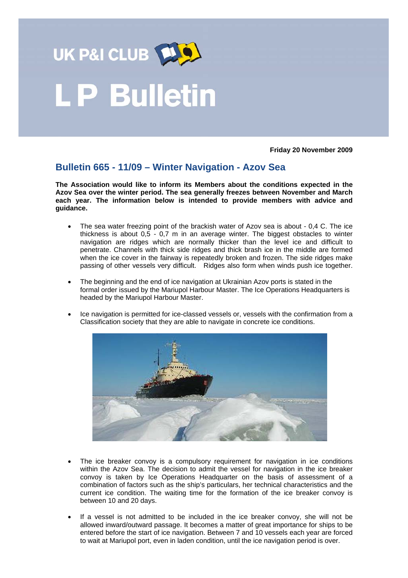

## .P Bulletin

**Friday 20 November 2009** 

## **Bulletin 665 - 11/09 – Winter Navigation - Azov Sea**

**The Association would like to inform its Members about the conditions expected in the Azov Sea over the winter period. The sea generally freezes between November and March each year. The information below is intended to provide members with advice and guidance.** 

- The sea water freezing point of the brackish water of Azov sea is about 0,4 C. The ice thickness is about 0,5 - 0,7 m in an average winter. The biggest obstacles to winter navigation are ridges which are normally thicker than the level ice and difficult to penetrate. Channels with thick side ridges and thick brash ice in the middle are formed when the ice cover in the fairway is repeatedly broken and frozen. The side ridges make passing of other vessels very difficult. Ridges also form when winds push ice together.
- The beginning and the end of ice navigation at Ukrainian Azov ports is stated in the formal order issued by the Mariupol Harbour Master. The Ice Operations Headquarters is headed by the Mariupol Harbour Master.
- Ice navigation is permitted for ice-classed vessels or, vessels with the confirmation from a Classification society that they are able to navigate in concrete ice conditions.



- The ice breaker convoy is a compulsory requirement for navigation in ice conditions within the Azov Sea. The decision to admit the vessel for navigation in the ice breaker convoy is taken by Ice Operations Headquarter on the basis of assessment of a combination of factors such as the ship's particulars, her technical characteristics and the current ice condition. The waiting time for the formation of the ice breaker convoy is between 10 and 20 days.
- If a vessel is not admitted to be included in the ice breaker convoy, she will not be allowed inward/outward passage. It becomes a matter of great importance for ships to be entered before the start of ice navigation. Between 7 and 10 vessels each year are forced to wait at Mariupol port, even in laden condition, until the ice navigation period is over.